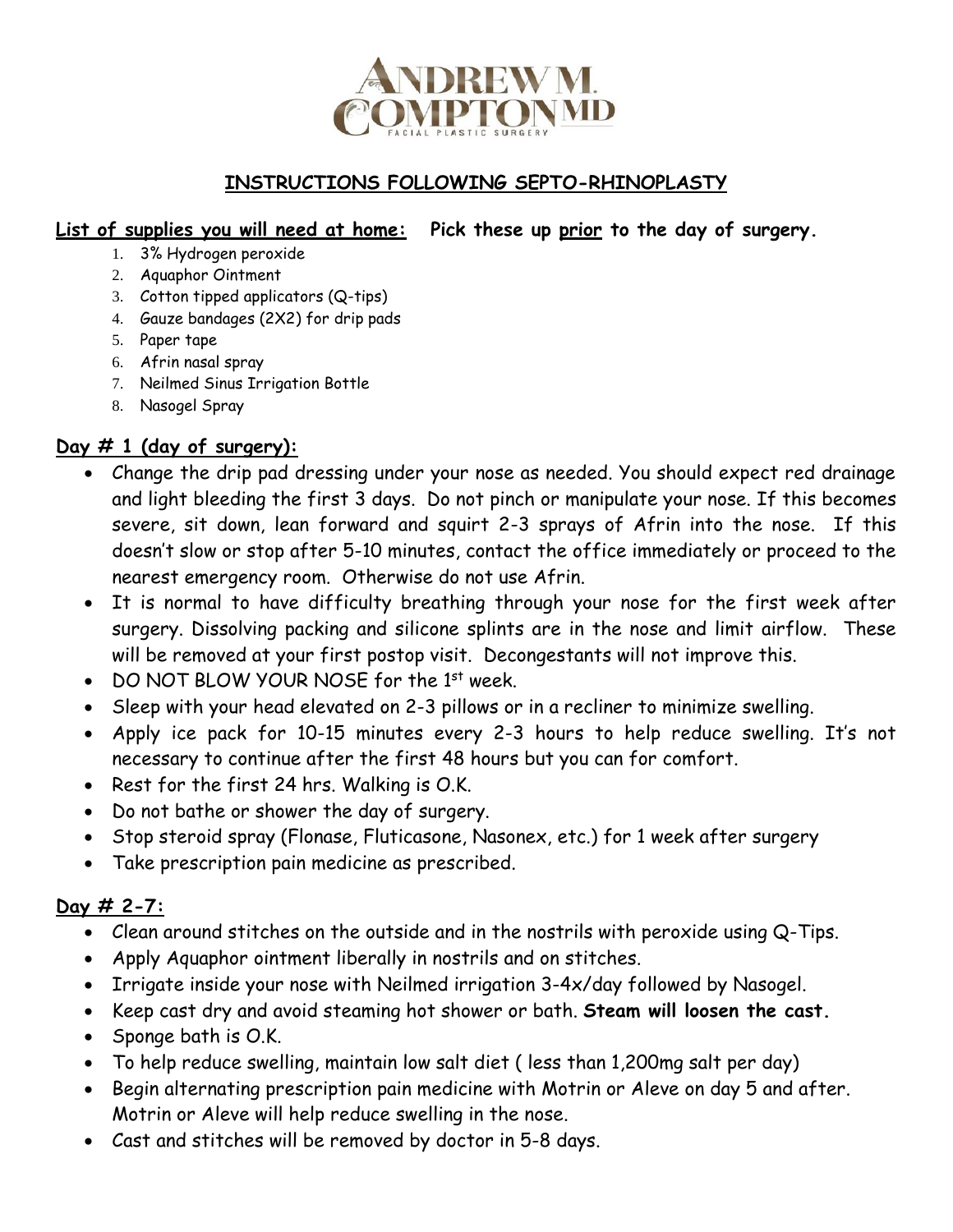

### **INSTRUCTIONS FOLLOWING SEPTO-RHINOPLASTY**

#### **List of supplies you will need at home: Pick these up prior to the day of surgery.**

- 1. 3% Hydrogen peroxide
- 2. Aquaphor Ointment
- 3. Cotton tipped applicators (Q-tips)
- 4. Gauze bandages (2X2) for drip pads
- 5. Paper tape
- 6. Afrin nasal spray
- 7. Neilmed Sinus Irrigation Bottle
- 8. Nasogel Spray

#### **Day # 1 (day of surgery):**

- Change the drip pad dressing under your nose as needed. You should expect red drainage and light bleeding the first 3 days. Do not pinch or manipulate your nose. If this becomes severe, sit down, lean forward and squirt 2-3 sprays of Afrin into the nose. If this doesn't slow or stop after 5-10 minutes, contact the office immediately or proceed to the nearest emergency room. Otherwise do not use Afrin.
- It is normal to have difficulty breathing through your nose for the first week after surgery. Dissolving packing and silicone splints are in the nose and limit airflow. These will be removed at your first postop visit. Decongestants will not improve this.
- DO NOT BLOW YOUR NOSE for the 1<sup>st</sup> week.
- Sleep with your head elevated on 2-3 pillows or in a recliner to minimize swelling.
- Apply ice pack for 10-15 minutes every 2-3 hours to help reduce swelling. It's not necessary to continue after the first 48 hours but you can for comfort.
- Rest for the first 24 hrs. Walking is O.K.
- Do not bathe or shower the day of surgery.
- Stop steroid spray (Flonase, Fluticasone, Nasonex, etc.) for 1 week after surgery
- Take prescription pain medicine as prescribed.

#### **Day # 2-7:**

- Clean around stitches on the outside and in the nostrils with peroxide using Q-Tips.
- Apply Aquaphor ointment liberally in nostrils and on stitches.
- Irrigate inside your nose with Neilmed irrigation 3-4x/day followed by Nasogel.
- Keep cast dry and avoid steaming hot shower or bath. **Steam will loosen the cast.**
- Sponge bath is O.K.
- To help reduce swelling, maintain low salt diet ( less than 1,200mg salt per day)
- Begin alternating prescription pain medicine with Motrin or Aleve on day 5 and after. Motrin or Aleve will help reduce swelling in the nose.
- Cast and stitches will be removed by doctor in 5-8 days.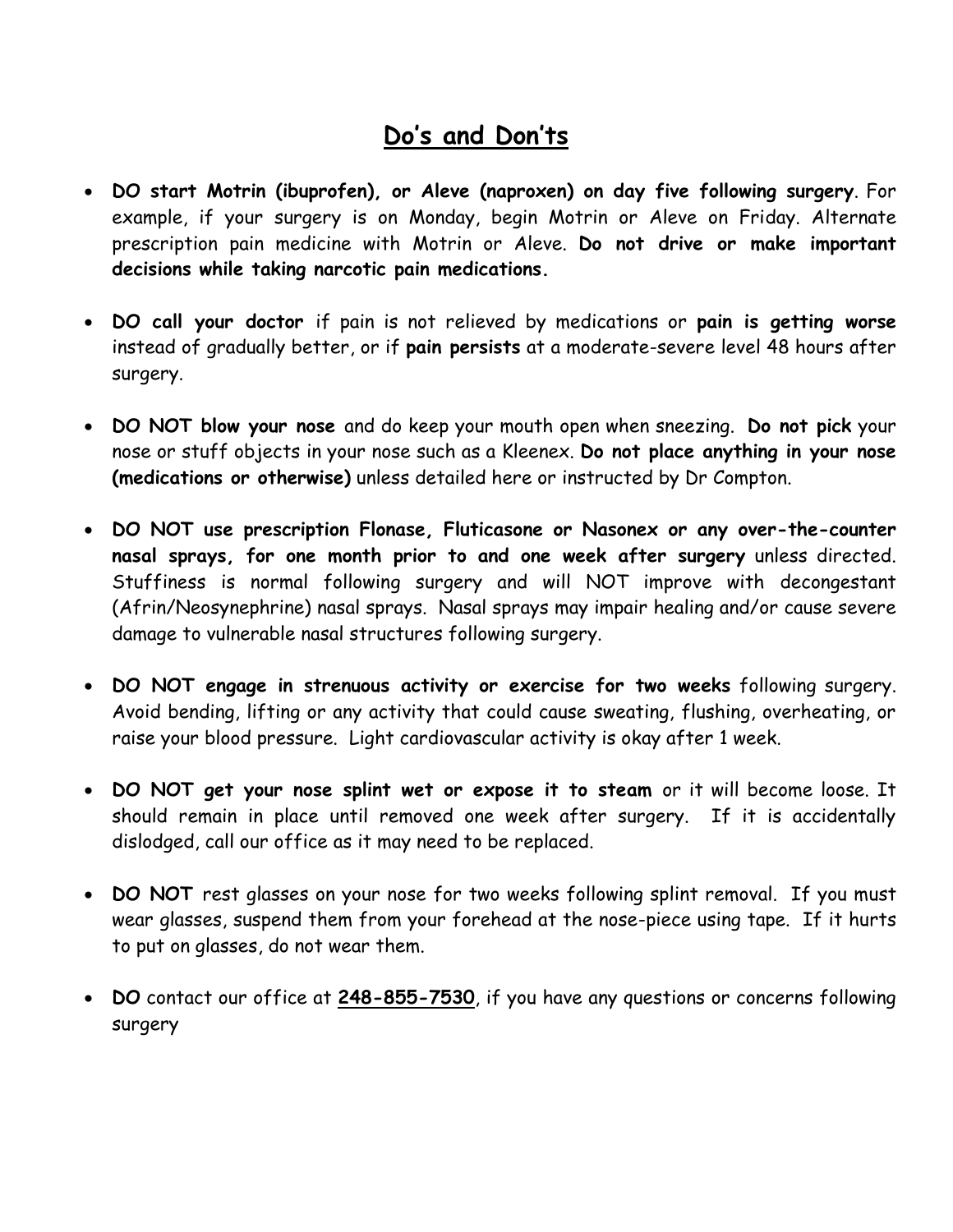## **Do's and Don'ts**

- **DO start Motrin (ibuprofen), or Aleve (naproxen) on day five following surgery**. For example, if your surgery is on Monday, begin Motrin or Aleve on Friday. Alternate prescription pain medicine with Motrin or Aleve. **Do not drive or make important decisions while taking narcotic pain medications.**
- **DO call your doctor** if pain is not relieved by medications or **pain is getting worse** instead of gradually better, or if **pain persists** at a moderate-severe level 48 hours after surgery.
- **DO NOT blow your nose** and do keep your mouth open when sneezing. **Do not pick** your nose or stuff objects in your nose such as a Kleenex. **Do not place anything in your nose (medications or otherwise)** unless detailed here or instructed by Dr Compton.
- **DO NOT use prescription Flonase, Fluticasone or Nasonex or any over-the-counter nasal sprays, for one month prior to and one week after surgery** unless directed. Stuffiness is normal following surgery and will NOT improve with decongestant (Afrin/Neosynephrine) nasal sprays. Nasal sprays may impair healing and/or cause severe damage to vulnerable nasal structures following surgery.
- **DO NOT engage in strenuous activity or exercise for two weeks** following surgery. Avoid bending, lifting or any activity that could cause sweating, flushing, overheating, or raise your blood pressure. Light cardiovascular activity is okay after 1 week.
- **DO NOT get your nose splint wet or expose it to steam** or it will become loose. It should remain in place until removed one week after surgery. If it is accidentally dislodged, call our office as it may need to be replaced.
- **DO NOT** rest glasses on your nose for two weeks following splint removal. If you must wear glasses, suspend them from your forehead at the nose-piece using tape. If it hurts to put on glasses, do not wear them.
- **DO** contact our office at **248-855-7530**, if you have any questions or concerns following surgery